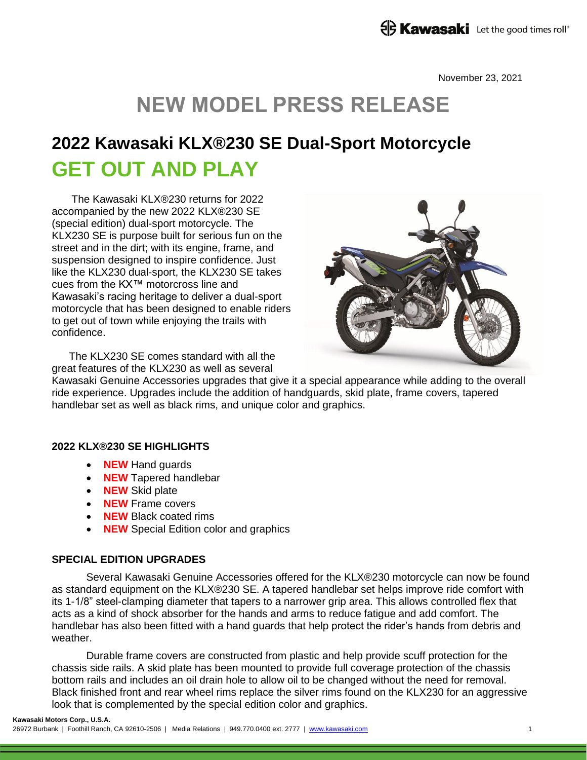November 23, 2021

# **NEW MODEL PRESS RELEASE**

## **2022 Kawasaki KLX®230 SE Dual-Sport Motorcycle GET OUT AND PLAY**

The Kawasaki KLX®230 returns for 2022 accompanied by the new 2022 KLX®230 SE (special edition) dual-sport motorcycle. The KLX230 SE is purpose built for serious fun on the street and in the dirt; with its engine, frame, and suspension designed to inspire confidence. Just like the KLX230 dual-sport, the KLX230 SE takes cues from the KX™ motorcross line and Kawasaki's racing heritage to deliver a dual-sport motorcycle that has been designed to enable riders to get out of town while enjoying the trails with confidence.



The KLX230 SE comes standard with all the great features of the KLX230 as well as several

Kawasaki Genuine Accessories upgrades that give it a special appearance while adding to the overall ride experience. Upgrades include the addition of handguards, skid plate, frame covers, tapered handlebar set as well as black rims, and unique color and graphics.

## **2022 KLX®230 SE HIGHLIGHTS**

- **NEW** Hand guards
- **NEW** Tapered handlebar
- **NEW** Skid plate
- **NEW** Frame covers
- **NEW** Black coated rims
- **NEW** Special Edition color and graphics

## **SPECIAL EDITION UPGRADES**

Several Kawasaki Genuine Accessories offered for the KLX®230 motorcycle can now be found as standard equipment on the KLX®230 SE. A tapered handlebar set helps improve ride comfort with its 1-1/8" steel-clamping diameter that tapers to a narrower grip area. This allows controlled flex that acts as a kind of shock absorber for the hands and arms to reduce fatigue and add comfort. The handlebar has also been fitted with a hand guards that help protect the rider's hands from debris and weather.

Durable frame covers are constructed from plastic and help provide scuff protection for the chassis side rails. A skid plate has been mounted to provide full coverage protection of the chassis bottom rails and includes an oil drain hole to allow oil to be changed without the need for removal. Black finished front and rear wheel rims replace the silver rims found on the KLX230 for an aggressive look that is complemented by the special edition color and graphics.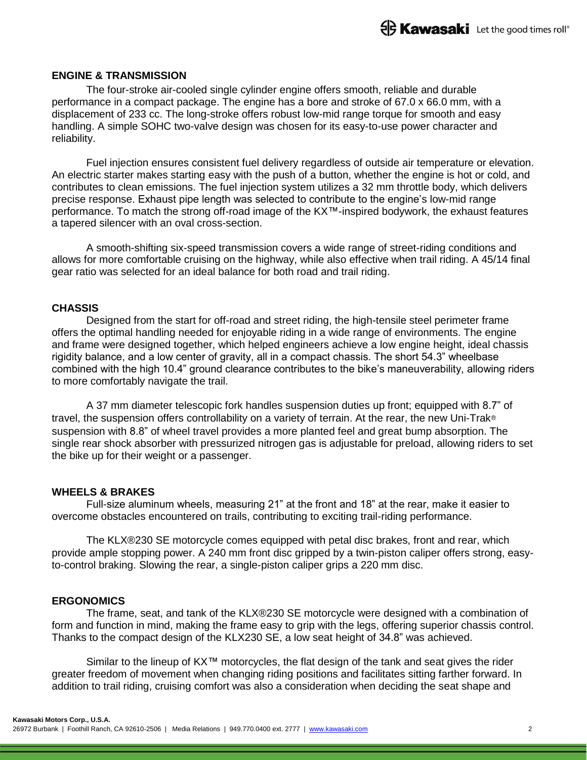#### **ENGINE & TRANSMISSION**

The four-stroke air-cooled single cylinder engine offers smooth, reliable and durable performance in a compact package. The engine has a bore and stroke of 67.0 x 66.0 mm, with a displacement of 233 cc. The long-stroke offers robust low-mid range torque for smooth and easy handling. A simple SOHC two-valve design was chosen for its easy-to-use power character and reliability.

Fuel injection ensures consistent fuel delivery regardless of outside air temperature or elevation. An electric starter makes starting easy with the push of a button, whether the engine is hot or cold, and contributes to clean emissions. The fuel injection system utilizes a 32 mm throttle body, which delivers precise response. Exhaust pipe length was selected to contribute to the engine's low-mid range performance. To match the strong off-road image of the KX<sup>™-</sup>inspired bodywork, the exhaust features a tapered silencer with an oval cross-section.

A smooth-shifting six-speed transmission covers a wide range of street-riding conditions and allows for more comfortable cruising on the highway, while also effective when trail riding. A 45/14 final gear ratio was selected for an ideal balance for both road and trail riding.

## **CHASSIS**

Designed from the start for off-road and street riding, the high-tensile steel perimeter frame offers the optimal handling needed for enjoyable riding in a wide range of environments. The engine and frame were designed together, which helped engineers achieve a low engine height, ideal chassis rigidity balance, and a low center of gravity, all in a compact chassis. The short 54.3" wheelbase combined with the high 10.4" ground clearance contributes to the bike's maneuverability, allowing riders to more comfortably navigate the trail.

A 37 mm diameter telescopic fork handles suspension duties up front; equipped with 8.7" of travel, the suspension offers controllability on a variety of terrain. At the rear, the new Uni-Trak® suspension with 8.8" of wheel travel provides a more planted feel and great bump absorption. The single rear shock absorber with pressurized nitrogen gas is adjustable for preload, allowing riders to set the bike up for their weight or a passenger.

#### **WHEELS & BRAKES**

Full-size aluminum wheels, measuring 21" at the front and 18" at the rear, make it easier to overcome obstacles encountered on trails, contributing to exciting trail-riding performance.

The KLX®230 SE motorcycle comes equipped with petal disc brakes, front and rear, which provide ample stopping power. A 240 mm front disc gripped by a twin-piston caliper offers strong, easyto-control braking. Slowing the rear, a single-piston caliper grips a 220 mm disc.

#### **ERGONOMICS**

The frame, seat, and tank of the KLX®230 SE motorcycle were designed with a combination of form and function in mind, making the frame easy to grip with the legs, offering superior chassis control. Thanks to the compact design of the KLX230 SE, a low seat height of 34.8" was achieved.

Similar to the lineup of KX™ motorcycles, the flat design of the tank and seat gives the rider greater freedom of movement when changing riding positions and facilitates sitting farther forward. In addition to trail riding, cruising comfort was also a consideration when deciding the seat shape and